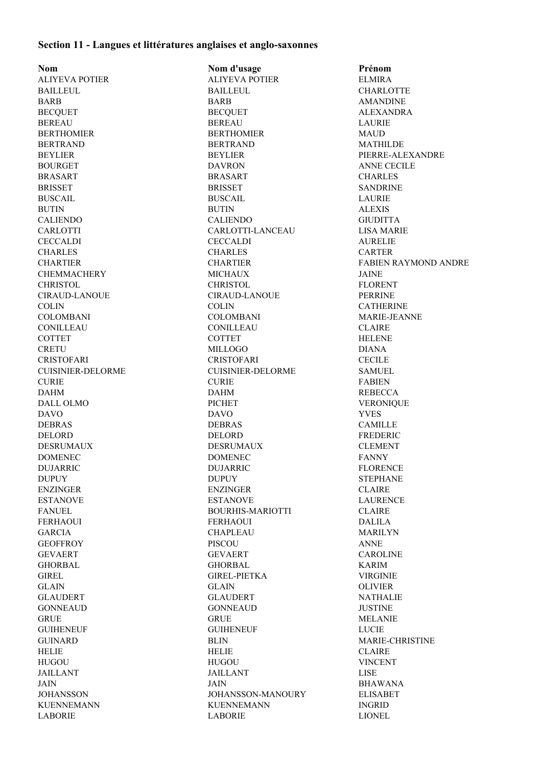## **Section 11 - Langues et littératures anglaises et anglo-saxonnes**

**Nom Nom d'usage Prénom** ALIYEVA POTIER ALIYEVA POTIER ELMIRA BAILLEUL BAILLEUL BAILLEUL CHARLOTTE BARB BARB AMANDINE BECQUET BECQUET BECQUET ALEXANDRA BEREAU BEREAU LAURIE BERTHOMIER BERTHOMIER MAUD BERTRAND BERTRAND MATHILDE BEYLIER BEYLIER PIERRE-ALEXANDRE BOURGET DAVRON DAVRON ANNE CECILE BRASART BRASART CHARLES BRISSET SANDRINE BRISSET SANDRINE BUSCAIL BUSCAIL LAURIE BUTIN BUTIN ALEXIS CALIENDO CALIENDO GIUDITTA CARLOTTI CARLOTTI-LANCEAU LISA MARIE CECCALDI CECCALDI AURELIE CHARLES CHARLES CARTER CHEMMACHERY MICHAUX JAINE CHRISTOL CHRISTOL FLORENT CIRAUD-LANOUE CIRAUD-LANOUE PERRINE COLIN COLIN CATHERINE COLOMBANI COLOMBANI MARIE-JEANNE CONILLEAU CONILLEAU CLAIRE COTTET COTTET HELENE CRETU MILLOGO DIANA CRISTOFARI CRISTOFARI CECILE CUISINIER-DELORME CUISINIER-DELORME SAMUEL CURIE CURIE FABIEN DAHM DAHM REBECCA DALL OLMO PICHET VERONIQUE DAVO DAVO YVES DEBRAS DEBRAS CAMILLE DELORD DELORD FREDERIC DESRUMAUX DESRUMAUX CLEMENT DOMENEC DOMENEC FANNY DUJARRIC DUJARRIC FLORENCE DUPUY DUPUY STEPHANE ENZINGER ENZINGER CLAIRE ESTANOVE LAURENCE ESTANOVE LAURENCE FANUEL BOURHIS-MARIOTTI CLAIRE FERHAOUI FERHAOUI DALILA GARCIA CHAPLEAU MARILYN GEOFFROY PISCOU ANNE GEVAERT GEVAERT CAROLINE GHORBAL GHORBAL KARIM GIREL GIREL-PIETKA VIRGINIE GLAIN GLAIN OLIVIER GLAUDERT GLAUDERT NATHALIE GONNEAUD GONNEAUD JUSTINE GRUE MELANIE GRUE GRUE NELANIE GUIHENEUF LUCIE GUIHENEUF LUCIE GUINARD BLIN MARIE-CHRISTINE HELIE HELIE CLAIRE HUGOU HUGOU VINCENT JAILLANT JAILLANT LISE JAIN JAIN BHAWANA JOHANSSON JOHANSSON-MANOURY ELISABET KUENNEMANN KUENNEMANN INGRID LABORIE LABORIE LIONEL

CHARTIER CHARTIER FABIEN RAYMOND ANDRE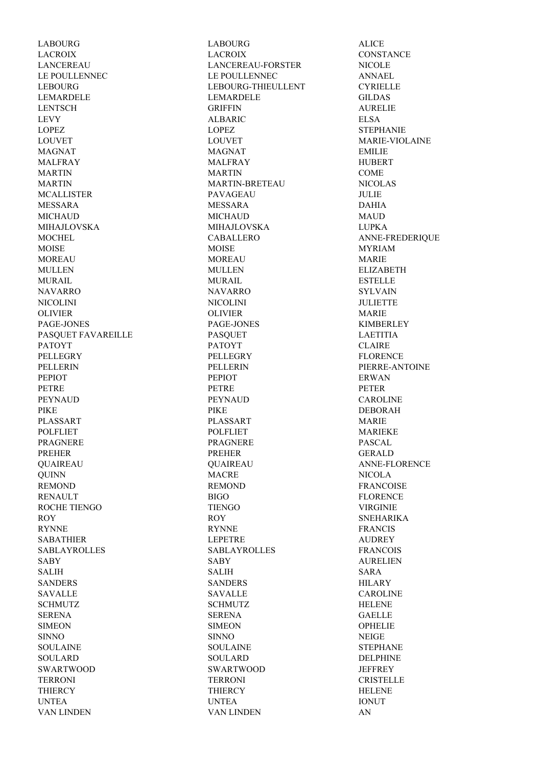LABOURG LABOURG ALICE LACROIX LACROIX CONSTANCE LANCEREAU LANCEREAU-FORSTER NICOLE LE POULLENNEC LE POULLENNEC ANNAEL LEBOURG LEBOURG-THIEULLENT CYRIELLE LEMARDELE LEMARDELE GILDAS LENTSCH GRIFFIN AURELIE LEVY ALBARIC ELSA LOPEZ LOPEZ STEPHANIE LOUVET LOUVET MARIE-VIOLAINE MAGNAT EMILIE MALFRAY MALFRAY HUBERT MARTIN COME MARTIN MARTIN-BRETEAU NICOLAS MCALLISTER PAVAGEAU JULIE MESSARA MESSARA DAHIA MICHAUD MICHAUD MAUD MIHAJLOVSKA MIHAJLOVSKA LUPKA MOCHEL CABALLERO ANNE-FREDERIQUE MOISE MYRIAM MOISE MOISE MOREAU MOREAU MARIE MULLEN MULLEN ELIZABETH MURAIL ESTELLE NAVARRO NAVARRO SYLVAIN NICOLINI NICOLINI JULIETTE OLIVIER OLIVIER MARIE PAGE-JONES PAGE-JONES KIMBERLEY PASQUET FAVAREILLE PASQUET PASQUET LAETITIA PATOYT CLAIRE PELLEGRY FLORENCE PELLERIN PELLERIN PIERRE-ANTOINE PEPIOT ERWAN PEPIOT PEPIOT PETRE PETRE PETRE PETRE PEYNAUD PEYNAUD CAROLINE PIKE PIKE DEBORAH PLASSART MARIE PLASSART MARIE POLFLIET POLFLIET MARIEKE PRAGNERE PRAGNERE PASCAL PREHER PREHER GERALD QUAIREAU QUAIREAU ANNE-FLORENCE QUINN MACRE NICOLA REMOND REMOND REMOND FRANCOISE RENAULT BIGO FLORENCE ROCHE TIENGO TIENGO VIRGINIE ROY ROY ROY SNEHARIKA RYNNE FRANCIS SABATHIER LEPETRE AUDREY SABLAYROLLES SABLAYROLLES FRANCOIS SABY SABY AURELIEN SALIH SALIH SARA SANDERS HILARY SAVALLE CAROLINE SAVALLE CAROLINE SCHMUTZ HELENE SCHMUTZ HELENE SERENA SERENA GAELLE SIMEON SIMEON SIMEON OPHELIE SINNO SINNO NEIGE SOULAINE SOULAINE SOULAINE STEPHANE SOULARD DELPHINE SOULARD DELPHINE SWARTWOOD SWARTWOOD JEFFREY TERRONI TERRONI CRISTELLE THIERCY HELENE THIERCY THIERCY UNTEA UNTEA IONUT

VAN LINDEN VAN LINDEN AN